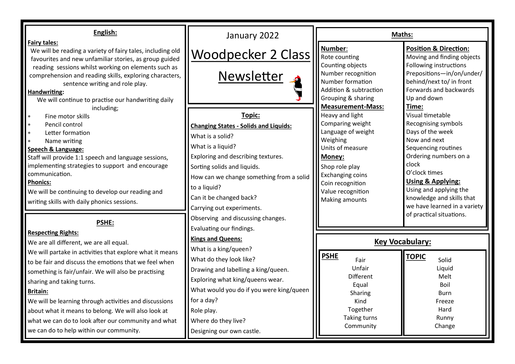| English:                                                                                                                                                                                                                                                                                                                                                                                                                                                                                                                             | January 2022                                                                                                                                                                                                                                                                                                                                         | Maths:                                                                                                                                                                                                                                  |                                                                                                                                                                                                                                                                                       |
|--------------------------------------------------------------------------------------------------------------------------------------------------------------------------------------------------------------------------------------------------------------------------------------------------------------------------------------------------------------------------------------------------------------------------------------------------------------------------------------------------------------------------------------|------------------------------------------------------------------------------------------------------------------------------------------------------------------------------------------------------------------------------------------------------------------------------------------------------------------------------------------------------|-----------------------------------------------------------------------------------------------------------------------------------------------------------------------------------------------------------------------------------------|---------------------------------------------------------------------------------------------------------------------------------------------------------------------------------------------------------------------------------------------------------------------------------------|
| <b>Fairy tales:</b><br>We will be reading a variety of fairy tales, including old<br>favourites and new unfamiliar stories, as group guided                                                                                                                                                                                                                                                                                                                                                                                          | <b>Woodpecker 2 Class</b>                                                                                                                                                                                                                                                                                                                            | Number:<br>Rote counting                                                                                                                                                                                                                | <b>Position &amp; Direction:</b><br>Moving and finding objects                                                                                                                                                                                                                        |
| reading sessions whilst working on elements such as<br>comprehension and reading skills, exploring characters,<br>sentence writing and role play.<br>Handwriting:<br>We will continue to practise our handwriting daily                                                                                                                                                                                                                                                                                                              | Newsletter                                                                                                                                                                                                                                                                                                                                           | Counting objects<br>Number recognition<br>Number formation<br>Addition & subtraction<br>Grouping & sharing                                                                                                                              | Following instructions<br>Prepositions-in/on/under/<br>behind/next to/ in front<br>Forwards and backwards<br>Up and down                                                                                                                                                              |
| including;<br>Fine motor skills<br>Pencil control<br>Letter formation<br>Name writing<br>Speech & Language:<br>Staff will provide 1:1 speech and language sessions,<br>implementing strategies to support and encourage<br>communication.<br><b>Phonics:</b><br>We will be continuing to develop our reading and<br>writing skills with daily phonics sessions.                                                                                                                                                                      | Topic:<br><b>Changing States - Solids and Liquids:</b><br>What is a solid?<br>What is a liquid?<br>Exploring and describing textures.<br>Sorting solids and liquids.<br>How can we change something from a solid<br>to a liquid?<br>Can it be changed back?<br>Carrying out experiments.                                                             | <b>Measurement-Mass:</b><br>Heavy and light<br>Comparing weight<br>Language of weight<br>Weighing<br>Units of measure<br>Money:<br>Shop role play<br><b>Exchanging coins</b><br>Coin recognition<br>Value recognition<br>Making amounts | Time:<br>Visual timetable<br>Recognising symbols<br>Days of the week<br>Now and next<br>Sequencing routines<br>Ordering numbers on a<br>clock<br>O'clock times<br><b>Using &amp; Applying:</b><br>Using and applying the<br>knowledge and skills that<br>we have learned in a variety |
| <b>PSHE:</b><br><b>Respecting Rights:</b><br>We are all different, we are all equal.<br>We will partake in activities that explore what it means<br>to be fair and discuss the emotions that we feel when<br>something is fair/unfair. We will also be practising<br>sharing and taking turns.<br><b>Britain:</b><br>We will be learning through activities and discussions<br>about what it means to belong. We will also look at<br>what we can do to look after our community and what<br>we can do to help within our community. | Observing and discussing changes.<br>Evaluating our findings.<br><b>Kings and Queens:</b><br>What is a king/queen?<br>What do they look like?<br>Drawing and labelling a king/queen.<br>Exploring what king/queens wear.<br>What would you do if you were king/queen<br>for a day?<br>Role play.<br>Where do they live?<br>Designing our own castle. | <b>PSHE</b><br>Fair<br>Unfair<br><b>Different</b><br>Equal<br>Sharing<br>Kind<br>Together<br><b>Taking turns</b><br>Community                                                                                                           | of practical situations.<br><b>Key Vocabulary:</b><br><b>TOPIC</b><br>Solid<br>Liquid<br>Melt<br>Boil<br>Burn<br>Freeze<br>Hard<br>Runny<br>Change                                                                                                                                    |